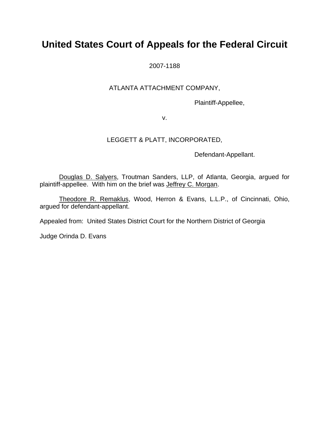# **United States Court of Appeals for the Federal Circuit**

2007-1188

### ATLANTA ATTACHMENT COMPANY,

Plaintiff-Appellee,

v.

### LEGGETT & PLATT, INCORPORATED,

Defendant-Appellant.

Douglas D. Salyers, Troutman Sanders, LLP, of Atlanta, Georgia, argued for plaintiff-appellee. With him on the brief was Jeffrey C. Morgan.

Theodore R. Remaklus, Wood, Herron & Evans, L.L.P., of Cincinnati, Ohio, argued for defendant-appellant.

Appealed from: United States District Court for the Northern District of Georgia

Judge Orinda D. Evans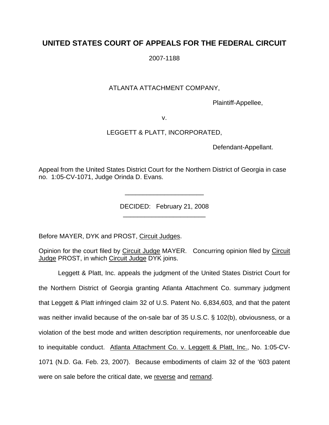## **UNITED STATES COURT OF APPEALS FOR THE FEDERAL CIRCUIT**

2007-1188

### ATLANTA ATTACHMENT COMPANY,

Plaintiff-Appellee,

v.

### LEGGETT & PLATT, INCORPORATED,

Defendant-Appellant.

Appeal from the United States District Court for the Northern District of Georgia in case no. 1:05-CV-1071, Judge Orinda D. Evans.

> DECIDED: February 21, 2008 \_\_\_\_\_\_\_\_\_\_\_\_\_\_\_\_\_\_\_\_\_\_\_

\_\_\_\_\_\_\_\_\_\_\_\_\_\_\_\_\_\_\_\_\_\_

Before MAYER, DYK and PROST, Circuit Judges.

Opinion for the court filed by Circuit Judge MAYER. Concurring opinion filed by Circuit Judge PROST, in which Circuit Judge DYK joins.

Leggett & Platt, Inc. appeals the judgment of the United States District Court for the Northern District of Georgia granting Atlanta Attachment Co. summary judgment that Leggett & Platt infringed claim 32 of U.S. Patent No. 6,834,603, and that the patent was neither invalid because of the on-sale bar of 35 U.S.C. § 102(b), obviousness, or a violation of the best mode and written description requirements, nor unenforceable due to inequitable conduct. Atlanta Attachment Co. v. Leggett & Platt, Inc., No. 1:05-CV-1071 (N.D. Ga. Feb. 23, 2007). Because embodiments of claim 32 of the '603 patent were on sale before the critical date, we reverse and remand.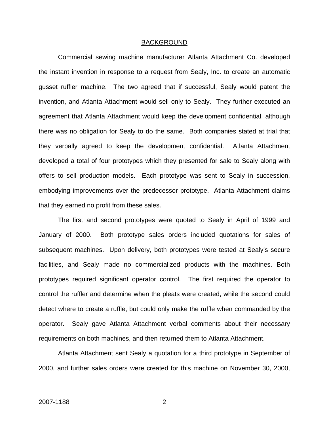#### BACKGROUND

Commercial sewing machine manufacturer Atlanta Attachment Co. developed the instant invention in response to a request from Sealy, Inc. to create an automatic gusset ruffler machine. The two agreed that if successful, Sealy would patent the invention, and Atlanta Attachment would sell only to Sealy. They further executed an agreement that Atlanta Attachment would keep the development confidential, although there was no obligation for Sealy to do the same. Both companies stated at trial that they verbally agreed to keep the development confidential. Atlanta Attachment developed a total of four prototypes which they presented for sale to Sealy along with offers to sell production models. Each prototype was sent to Sealy in succession, embodying improvements over the predecessor prototype. Atlanta Attachment claims that they earned no profit from these sales.

The first and second prototypes were quoted to Sealy in April of 1999 and January of 2000. Both prototype sales orders included quotations for sales of subsequent machines. Upon delivery, both prototypes were tested at Sealy's secure facilities, and Sealy made no commercialized products with the machines. Both prototypes required significant operator control. The first required the operator to control the ruffler and determine when the pleats were created, while the second could detect where to create a ruffle, but could only make the ruffle when commanded by the operator. Sealy gave Atlanta Attachment verbal comments about their necessary requirements on both machines, and then returned them to Atlanta Attachment.

Atlanta Attachment sent Sealy a quotation for a third prototype in September of 2000, and further sales orders were created for this machine on November 30, 2000,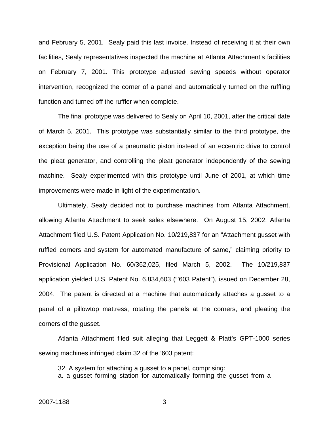and February 5, 2001. Sealy paid this last invoice. Instead of receiving it at their own facilities, Sealy representatives inspected the machine at Atlanta Attachment's facilities on February 7, 2001. This prototype adjusted sewing speeds without operator intervention, recognized the corner of a panel and automatically turned on the ruffling function and turned off the ruffler when complete.

The final prototype was delivered to Sealy on April 10, 2001, after the critical date of March 5, 2001. This prototype was substantially similar to the third prototype, the exception being the use of a pneumatic piston instead of an eccentric drive to control the pleat generator, and controlling the pleat generator independently of the sewing machine. Sealy experimented with this prototype until June of 2001, at which time improvements were made in light of the experimentation.

Ultimately, Sealy decided not to purchase machines from Atlanta Attachment, allowing Atlanta Attachment to seek sales elsewhere. On August 15, 2002, Atlanta Attachment filed U.S. Patent Application No. 10/219,837 for an "Attachment gusset with ruffled corners and system for automated manufacture of same," claiming priority to Provisional Application No. 60/362,025, filed March 5, 2002. The 10/219,837 application yielded U.S. Patent No. 6,834,603 ("'603 Patent"), issued on December 28, 2004. The patent is directed at a machine that automatically attaches a gusset to a panel of a pillowtop mattress, rotating the panels at the corners, and pleating the corners of the gusset.

Atlanta Attachment filed suit alleging that Leggett & Platt's GPT-1000 series sewing machines infringed claim 32 of the '603 patent:

32. A system for attaching a gusset to a panel, comprising: a. a gusset forming station for automatically forming the gusset from a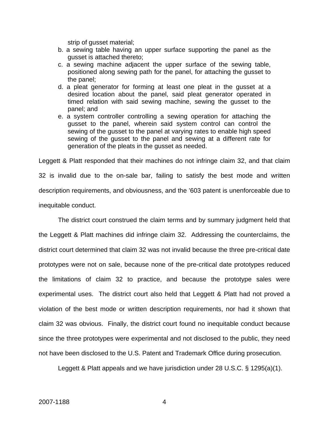strip of gusset material;

- b. a sewing table having an upper surface supporting the panel as the gusset is attached thereto;
- c. a sewing machine adjacent the upper surface of the sewing table, positioned along sewing path for the panel, for attaching the gusset to the panel;
- d. a pleat generator for forming at least one pleat in the gusset at a desired location about the panel, said pleat generator operated in timed relation with said sewing machine, sewing the gusset to the panel; and
- e. a system controller controlling a sewing operation for attaching the gusset to the panel, wherein said system control can control the sewing of the gusset to the panel at varying rates to enable high speed sewing of the gusset to the panel and sewing at a different rate for generation of the pleats in the gusset as needed.

Leggett & Platt responded that their machines do not infringe claim 32, and that claim 32 is invalid due to the on-sale bar, failing to satisfy the best mode and written description requirements, and obviousness, and the '603 patent is unenforceable due to inequitable conduct.

The district court construed the claim terms and by summary judgment held that the Leggett & Platt machines did infringe claim 32. Addressing the counterclaims, the district court determined that claim 32 was not invalid because the three pre-critical date prototypes were not on sale, because none of the pre-critical date prototypes reduced the limitations of claim 32 to practice, and because the prototype sales were experimental uses. The district court also held that Leggett & Platt had not proved a violation of the best mode or written description requirements, nor had it shown that claim 32 was obvious. Finally, the district court found no inequitable conduct because since the three prototypes were experimental and not disclosed to the public, they need not have been disclosed to the U.S. Patent and Trademark Office during prosecution.

Leggett & Platt appeals and we have jurisdiction under 28 U.S.C. § 1295(a)(1).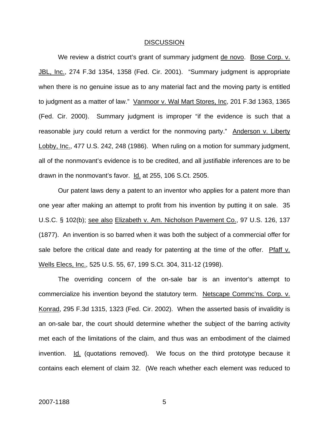#### DISCUSSION

We review a district court's grant of summary judgment de novo. Bose Corp. v. JBL, Inc., 274 F.3d 1354, 1358 (Fed. Cir. 2001). "Summary judgment is appropriate when there is no genuine issue as to any material fact and the moving party is entitled to judgment as a matter of law." Vanmoor v. Wal Mart Stores, Inc, 201 F.3d 1363, 1365 (Fed. Cir. 2000). Summary judgment is improper "if the evidence is such that a reasonable jury could return a verdict for the nonmoving party." Anderson v. Liberty Lobby, Inc., 477 U.S. 242, 248 (1986). When ruling on a motion for summary judgment, all of the nonmovant's evidence is to be credited, and all justifiable inferences are to be drawn in the nonmovant's favor. Id. at 255, 106 S.Ct. 2505.

Our patent laws deny a patent to an inventor who applies for a patent more than one year after making an attempt to profit from his invention by putting it on sale. 35 U.S.C. § 102(b); see also Elizabeth v. Am. Nicholson Pavement Co., 97 U.S. 126, 137 (1877). An invention is so barred when it was both the subject of a commercial offer for sale before the critical date and ready for patenting at the time of the offer. Pfaff  $v$ . Wells Elecs, Inc., 525 U.S. 55, 67, 199 S.Ct. 304, 311-12 (1998).

The overriding concern of the on-sale bar is an inventor's attempt to commercialize his invention beyond the statutory term. Netscape Commc'ns. Corp. v. Konrad, 295 F.3d 1315, 1323 (Fed. Cir. 2002). When the asserted basis of invalidity is an on-sale bar, the court should determine whether the subject of the barring activity met each of the limitations of the claim, and thus was an embodiment of the claimed invention. Id. (quotations removed). We focus on the third prototype because it contains each element of claim 32. (We reach whether each element was reduced to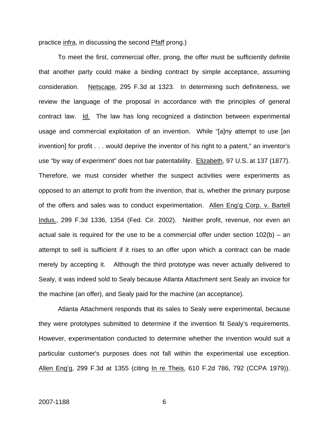practice infra, in discussing the second Pfaff prong.)

To meet the first, commercial offer, prong, the offer must be sufficiently definite that another party could make a binding contract by simple acceptance, assuming consideration. Netscape, 295 F.3d at 1323. In determining such definiteness, we review the language of the proposal in accordance with the principles of general contract law. Id. The law has long recognized a distinction between experimental usage and commercial exploitation of an invention. While "[a]ny attempt to use [an invention] for profit . . . would deprive the inventor of his right to a patent," an inventor's use "by way of experiment" does not bar patentability. Elizabeth, 97 U.S. at 137 (1877). Therefore, we must consider whether the suspect activities were experiments as opposed to an attempt to profit from the invention, that is, whether the primary purpose of the offers and sales was to conduct experimentation. Allen Eng'g Corp. v. Bartell Indus., 299 F.3d 1336, 1354 (Fed. Cir. 2002). Neither profit, revenue, nor even an actual sale is required for the use to be a commercial offer under section  $102(b) - an$ attempt to sell is sufficient if it rises to an offer upon which a contract can be made merely by accepting it. Although the third prototype was never actually delivered to Sealy, it was indeed sold to Sealy because Atlanta Attachment sent Sealy an invoice for the machine (an offer), and Sealy paid for the machine (an acceptance).

Atlanta Attachment responds that its sales to Sealy were experimental, because they were prototypes submitted to determine if the invention fit Sealy's requirements. However, experimentation conducted to determine whether the invention would suit a particular customer's purposes does not fall within the experimental use exception. Allen Eng'g, 299 F.3d at 1355 (citing In re Theis, 610 F.2d 786, 792 (CCPA 1979)).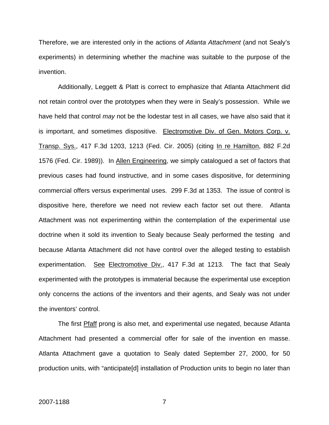Therefore, we are interested only in the actions of *Atlanta Attachment* (and not Sealy's experiments) in determining whether the machine was suitable to the purpose of the invention.

Additionally, Leggett & Platt is correct to emphasize that Atlanta Attachment did not retain control over the prototypes when they were in Sealy's possession. While we have held that control *may* not be the lodestar test in all cases, we have also said that it is important, and sometimes dispositive. Electromotive Div. of Gen. Motors Corp. v. Transp. Sys., 417 F.3d 1203, 1213 (Fed. Cir. 2005) (citing In re Hamilton, 882 F.2d 1576 (Fed. Cir. 1989)). In Allen Engineering, we simply catalogued a set of factors that previous cases had found instructive, and in some cases dispositive, for determining commercial offers versus experimental uses. 299 F.3d at 1353. The issue of control is dispositive here, therefore we need not review each factor set out there. Atlanta Attachment was not experimenting within the contemplation of the experimental use doctrine when it sold its invention to Sealy because Sealy performed the testing and because Atlanta Attachment did not have control over the alleged testing to establish experimentation. See Electromotive Div., 417 F.3d at 1213. The fact that Sealy experimented with the prototypes is immaterial because the experimental use exception only concerns the actions of the inventors and their agents, and Sealy was not under the inventors' control.

The first Pfaff prong is also met, and experimental use negated, because Atlanta Attachment had presented a commercial offer for sale of the invention en masse. Atlanta Attachment gave a quotation to Sealy dated September 27, 2000, for 50 production units, with "anticipate[d] installation of Production units to begin no later than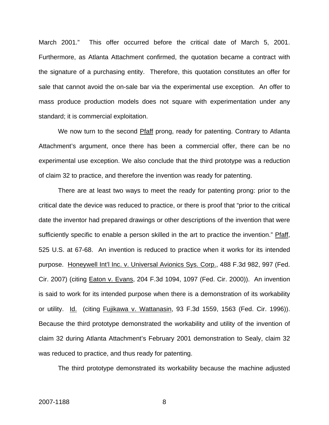March 2001." This offer occurred before the critical date of March 5, 2001. Furthermore, as Atlanta Attachment confirmed, the quotation became a contract with the signature of a purchasing entity. Therefore, this quotation constitutes an offer for sale that cannot avoid the on-sale bar via the experimental use exception. An offer to mass produce production models does not square with experimentation under any standard; it is commercial exploitation.

We now turn to the second Pfaff prong, ready for patenting. Contrary to Atlanta Attachment's argument, once there has been a commercial offer, there can be no experimental use exception. We also conclude that the third prototype was a reduction of claim 32 to practice, and therefore the invention was ready for patenting.

There are at least two ways to meet the ready for patenting prong: prior to the critical date the device was reduced to practice, or there is proof that "prior to the critical date the inventor had prepared drawings or other descriptions of the invention that were sufficiently specific to enable a person skilled in the art to practice the invention." Pfaff, 525 U.S. at 67-68. An invention is reduced to practice when it works for its intended purpose. Honeywell Int'l Inc. v. Universal Avionics Sys. Corp., 488 F.3d 982, 997 (Fed. Cir. 2007) (citing Eaton v. Evans, 204 F.3d 1094, 1097 (Fed. Cir. 2000)). An invention is said to work for its intended purpose when there is a demonstration of its workability or utility. Id. (citing Fujikawa v. Wattanasin, 93 F.3d 1559, 1563 (Fed. Cir. 1996)). Because the third prototype demonstrated the workability and utility of the invention of claim 32 during Atlanta Attachment's February 2001 demonstration to Sealy, claim 32 was reduced to practice, and thus ready for patenting.

The third prototype demonstrated its workability because the machine adjusted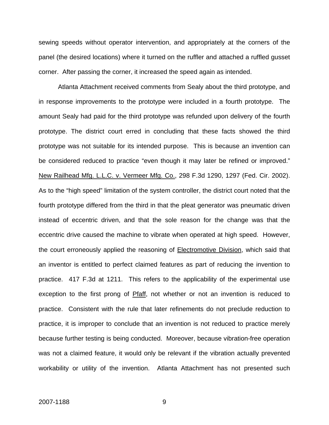sewing speeds without operator intervention, and appropriately at the corners of the panel (the desired locations) where it turned on the ruffler and attached a ruffled gusset corner. After passing the corner, it increased the speed again as intended.

Atlanta Attachment received comments from Sealy about the third prototype, and in response improvements to the prototype were included in a fourth prototype. The amount Sealy had paid for the third prototype was refunded upon delivery of the fourth prototype. The district court erred in concluding that these facts showed the third prototype was not suitable for its intended purpose. This is because an invention can be considered reduced to practice "even though it may later be refined or improved." New Railhead Mfg. L.L.C. v. Vermeer Mfg. Co., 298 F.3d 1290, 1297 (Fed. Cir. 2002). As to the "high speed" limitation of the system controller, the district court noted that the fourth prototype differed from the third in that the pleat generator was pneumatic driven instead of eccentric driven, and that the sole reason for the change was that the eccentric drive caused the machine to vibrate when operated at high speed. However, the court erroneously applied the reasoning of **Electromotive Division**, which said that an inventor is entitled to perfect claimed features as part of reducing the invention to practice. 417 F.3d at 1211. This refers to the applicability of the experimental use exception to the first prong of Pfaff, not whether or not an invention is reduced to practice. Consistent with the rule that later refinements do not preclude reduction to practice, it is improper to conclude that an invention is not reduced to practice merely because further testing is being conducted. Moreover, because vibration-free operation was not a claimed feature, it would only be relevant if the vibration actually prevented workability or utility of the invention. Atlanta Attachment has not presented such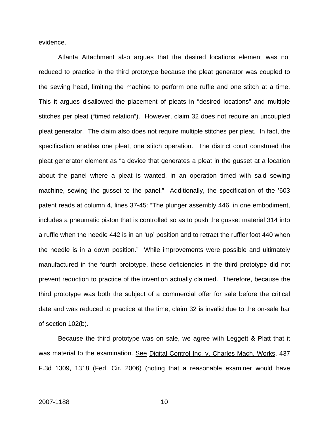evidence.

Atlanta Attachment also argues that the desired locations element was not reduced to practice in the third prototype because the pleat generator was coupled to the sewing head, limiting the machine to perform one ruffle and one stitch at a time. This it argues disallowed the placement of pleats in "desired locations" and multiple stitches per pleat ("timed relation"). However, claim 32 does not require an uncoupled pleat generator. The claim also does not require multiple stitches per pleat. In fact, the specification enables one pleat, one stitch operation. The district court construed the pleat generator element as "a device that generates a pleat in the gusset at a location about the panel where a pleat is wanted, in an operation timed with said sewing machine, sewing the gusset to the panel." Additionally, the specification of the '603 patent reads at column 4, lines 37-45: "The plunger assembly 446, in one embodiment, includes a pneumatic piston that is controlled so as to push the gusset material 314 into a ruffle when the needle 442 is in an 'up' position and to retract the ruffler foot 440 when the needle is in a down position." While improvements were possible and ultimately manufactured in the fourth prototype, these deficiencies in the third prototype did not prevent reduction to practice of the invention actually claimed. Therefore, because the third prototype was both the subject of a commercial offer for sale before the critical date and was reduced to practice at the time, claim 32 is invalid due to the on-sale bar of section 102(b).

Because the third prototype was on sale, we agree with Leggett & Platt that it was material to the examination. See Digital Control Inc. v. Charles Mach. Works, 437 F.3d 1309, 1318 (Fed. Cir. 2006) (noting that a reasonable examiner would have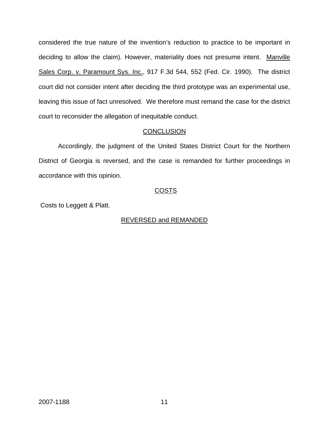considered the true nature of the invention's reduction to practice to be important in deciding to allow the claim). However, materiality does not presume intent. Manville Sales Corp. v. Paramount Sys. Inc., 917 F.3d 544, 552 (Fed. Cir. 1990). The district court did not consider intent after deciding the third prototype was an experimental use, leaving this issue of fact unresolved. We therefore must remand the case for the district court to reconsider the allegation of inequitable conduct.

### **CONCLUSION**

Accordingly, the judgment of the United States District Court for the Northern District of Georgia is reversed, and the case is remanded for further proceedings in accordance with this opinion.

### COSTS

Costs to Leggett & Platt.

### REVERSED and REMANDED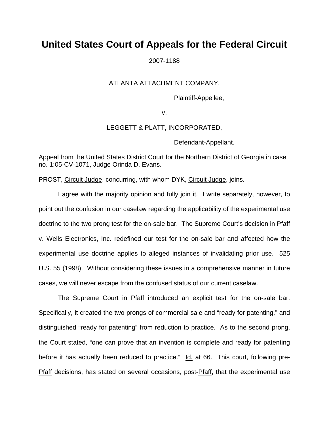## **United States Court of Appeals for the Federal Circuit**

2007-1188

### ATLANTA ATTACHMENT COMPANY,

Plaintiff-Appellee,

v.

### LEGGETT & PLATT, INCORPORATED,

Defendant-Appellant.

Appeal from the United States District Court for the Northern District of Georgia in case no. 1:05-CV-1071, Judge Orinda D. Evans.

PROST, Circuit Judge, concurring, with whom DYK, Circuit Judge, joins.

I agree with the majority opinion and fully join it. I write separately, however, to point out the confusion in our caselaw regarding the applicability of the experimental use doctrine to the two prong test for the on-sale bar. The Supreme Court's decision in Pfaff v. Wells Electronics, Inc. redefined our test for the on-sale bar and affected how the experimental use doctrine applies to alleged instances of invalidating prior use. 525 U.S. 55 (1998). Without considering these issues in a comprehensive manner in future cases, we will never escape from the confused status of our current caselaw.

The Supreme Court in Pfaff introduced an explicit test for the on-sale bar. Specifically, it created the two prongs of commercial sale and "ready for patenting," and distinguished "ready for patenting" from reduction to practice. As to the second prong, the Court stated, "one can prove that an invention is complete and ready for patenting before it has actually been reduced to practice." Id. at 66. This court, following pre-Pfaff decisions, has stated on several occasions, post-Pfaff, that the experimental use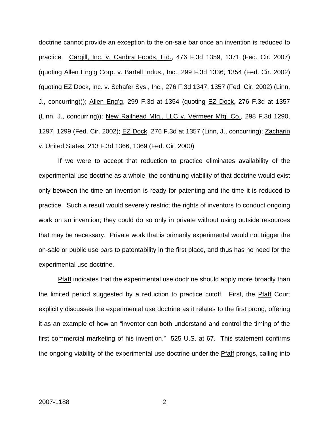doctrine cannot provide an exception to the on-sale bar once an invention is reduced to practice. Cargill, Inc. v. Canbra Foods, Ltd., 476 F.3d 1359, 1371 (Fed. Cir. 2007) (quoting Allen Eng'g Corp. v. Bartell Indus., Inc., 299 F.3d 1336, 1354 (Fed. Cir. 2002) (quoting EZ Dock, Inc. v. Schafer Sys., Inc., 276 F.3d 1347, 1357 (Fed. Cir. 2002) (Linn, J., concurring))); Allen Eng'g, 299 F.3d at 1354 (quoting **EZ Dock**, 276 F.3d at 1357 (Linn, J., concurring)); New Railhead Mfg., LLC v. Vermeer Mfg. Co., 298 F.3d 1290, 1297, 1299 (Fed. Cir. 2002); EZ Dock, 276 F.3d at 1357 (Linn, J., concurring); Zacharin v. United States, 213 F.3d 1366, 1369 (Fed. Cir. 2000)

If we were to accept that reduction to practice eliminates availability of the experimental use doctrine as a whole, the continuing viability of that doctrine would exist only between the time an invention is ready for patenting and the time it is reduced to practice. Such a result would severely restrict the rights of inventors to conduct ongoing work on an invention; they could do so only in private without using outside resources that may be necessary. Private work that is primarily experimental would not trigger the on-sale or public use bars to patentability in the first place, and thus has no need for the experimental use doctrine.

Pfaff indicates that the experimental use doctrine should apply more broadly than the limited period suggested by a reduction to practice cutoff. First, the Pfaff Court explicitly discusses the experimental use doctrine as it relates to the first prong, offering it as an example of how an "inventor can both understand and control the timing of the first commercial marketing of his invention." 525 U.S. at 67. This statement confirms the ongoing viability of the experimental use doctrine under the **Pfaff** prongs, calling into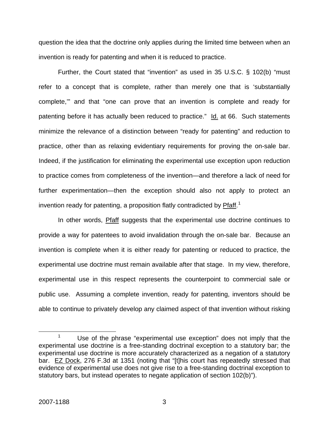question the idea that the doctrine only applies during the limited time between when an invention is ready for patenting and when it is reduced to practice.

Further, the Court stated that "invention" as used in 35 U.S.C. § 102(b) "must refer to a concept that is complete, rather than merely one that is 'substantially complete,'" and that "one can prove that an invention is complete and ready for patenting before it has actually been reduced to practice." Id. at 66. Such statements minimize the relevance of a distinction between "ready for patenting" and reduction to practice, other than as relaxing evidentiary requirements for proving the on-sale bar. Indeed, if the justification for eliminating the experimental use exception upon reduction to practice comes from completeness of the invention—and therefore a lack of need for further experimentation—then the exception should also not apply to protect an invention ready for patenting, a proposition flatly contradicted by Pfaff.<sup>[1](#page-14-0)</sup>

In other words, Pfaff suggests that the experimental use doctrine continues to provide a way for patentees to avoid invalidation through the on-sale bar. Because an invention is complete when it is either ready for patenting or reduced to practice, the experimental use doctrine must remain available after that stage. In my view, therefore, experimental use in this respect represents the counterpoint to commercial sale or public use. Assuming a complete invention, ready for patenting, inventors should be able to continue to privately develop any claimed aspect of that invention without risking

<span id="page-14-0"></span> <sup>1</sup>  $1$  Use of the phrase "experimental use exception" does not imply that the experimental use doctrine is a free-standing doctrinal exception to a statutory bar; the experimental use doctrine is more accurately characterized as a negation of a statutory bar. EZ Dock, 276 F.3d at 1351 (noting that "[t]his court has repeatedly stressed that evidence of experimental use does not give rise to a free-standing doctrinal exception to statutory bars, but instead operates to negate application of section 102(b)").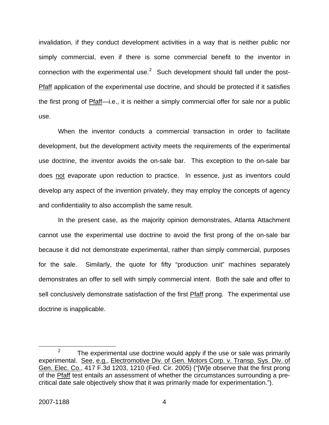invalidation, if they conduct development activities in a way that is neither public nor simply commercial, even if there is some commercial benefit to the inventor in connection with the experimental use. $2$  Such development should fall under the post-Pfaff application of the experimental use doctrine, and should be protected if it satisfies the first prong of Pfaff—i.e., it is neither a simply commercial offer for sale nor a public use.

When the inventor conducts a commercial transaction in order to facilitate development, but the development activity meets the requirements of the experimental use doctrine, the inventor avoids the on-sale bar. This exception to the on-sale bar does not evaporate upon reduction to practice. In essence, just as inventors could develop any aspect of the invention privately, they may employ the concepts of agency and confidentiality to also accomplish the same result.

In the present case, as the majority opinion demonstrates, Atlanta Attachment cannot use the experimental use doctrine to avoid the first prong of the on-sale bar because it did not demonstrate experimental, rather than simply commercial, purposes for the sale. Similarly, the quote for fifty "production unit" machines separately demonstrates an offer to sell with simply commercial intent. Both the sale and offer to sell conclusively demonstrate satisfaction of the first Pfaff prong. The experimental use doctrine is inapplicable.

<span id="page-15-0"></span> $\frac{1}{2}$ <sup>2</sup> The experimental use doctrine would apply if the use or sale was primarily experimental. See, e.g., Electromotive Div. of Gen. Motors Corp. v. Transp. Sys. Div. of Gen. Elec. Co., 417 F.3d 1203, 1210 (Fed. Cir. 2005) ("[W]e observe that the first prong of the Pfaff test entails an assessment of whether the circumstances surrounding a precritical date sale objectively show that it was primarily made for experimentation.").